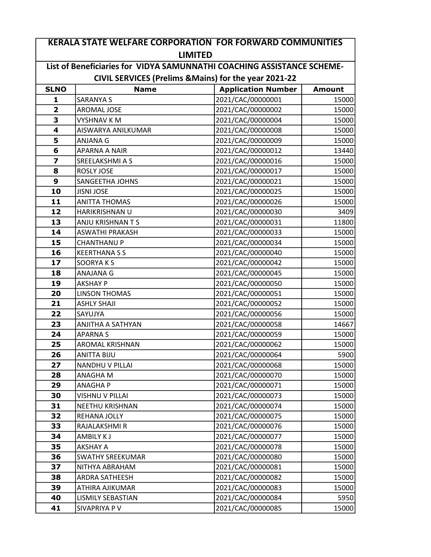|                                                                        | <b>KERALA STATE WELFARE CORPORATION FOR FORWARD COMMUNITIES</b> |                                                       |               |  |  |
|------------------------------------------------------------------------|-----------------------------------------------------------------|-------------------------------------------------------|---------------|--|--|
| <b>LIMITED</b>                                                         |                                                                 |                                                       |               |  |  |
| List of Beneficiaries for VIDYA SAMUNNATHI COACHING ASSISTANCE SCHEME- |                                                                 |                                                       |               |  |  |
|                                                                        |                                                                 | CIVIL SERVICES (Prelims & Mains) for the year 2021-22 |               |  |  |
| <b>SLNO</b>                                                            | <b>Name</b>                                                     | <b>Application Number</b>                             | <b>Amount</b> |  |  |
| $\mathbf{1}$                                                           | <b>SARANYA S</b>                                                | 2021/CAC/00000001                                     | 15000         |  |  |
| $\overline{\mathbf{2}}$                                                | <b>AROMAL JOSE</b>                                              | 2021/CAC/00000002                                     | 15000         |  |  |
| 3                                                                      | <b>VYSHNAV KM</b>                                               | 2021/CAC/00000004                                     | 15000         |  |  |
| 4                                                                      | AISWARYA ANILKUMAR                                              | 2021/CAC/00000008                                     | 15000         |  |  |
| 5                                                                      | ANJANA G                                                        | 2021/CAC/00000009                                     | 15000         |  |  |
| 6                                                                      | <b>APARNA A NAIR</b>                                            | 2021/CAC/00000012                                     | 13440         |  |  |
| $\overline{z}$                                                         | SREELAKSHMI A S                                                 | 2021/CAC/00000016                                     | 15000         |  |  |
| 8                                                                      | ROSLY JOSE                                                      | 2021/CAC/00000017                                     | 15000         |  |  |
| 9                                                                      | <b>SANGEETHA JOHNS</b>                                          | 2021/CAC/00000021                                     | 15000         |  |  |
| 10                                                                     | <b>JISNI JOSE</b>                                               | 2021/CAC/00000025                                     | 15000         |  |  |
| 11                                                                     | <b>ANITTA THOMAS</b>                                            | 2021/CAC/00000026                                     | 15000         |  |  |
| 12                                                                     | HARIKRISHNAN U                                                  | 2021/CAC/00000030                                     | 3409          |  |  |
| 13                                                                     | ANJU KRISHNAN T S                                               | 2021/CAC/00000031                                     | 11800         |  |  |
| 14                                                                     | <b>ASWATHI PRAKASH</b>                                          | 2021/CAC/00000033                                     | 15000         |  |  |
| 15                                                                     | <b>CHANTHANU P</b>                                              | 2021/CAC/00000034                                     | 15000         |  |  |
| 16                                                                     | <b>KEERTHANA S S</b>                                            | 2021/CAC/00000040                                     | 15000         |  |  |
| 17                                                                     | <b>SOORYAKS</b>                                                 | 2021/CAC/00000042                                     | 15000         |  |  |
| 18                                                                     | ANAJANA G                                                       | 2021/CAC/00000045                                     | 15000         |  |  |
| 19                                                                     | <b>AKSHAY P</b>                                                 | 2021/CAC/00000050                                     | 15000         |  |  |
| 20                                                                     | <b>LINSON THOMAS</b>                                            | 2021/CAC/00000051                                     | 15000         |  |  |
| 21                                                                     | <b>ASHLY SHAJI</b>                                              | 2021/CAC/00000052                                     | 15000         |  |  |
| 22                                                                     | SAYUJYA                                                         | 2021/CAC/00000056                                     | 15000         |  |  |
| 23                                                                     | ANJITHA A SATHYAN                                               | 2021/CAC/00000058                                     | 14667         |  |  |
| 24                                                                     | <b>APARNAS</b>                                                  | 2021/CAC/00000059                                     | 15000         |  |  |
| 25                                                                     | <b>AROMAL KRISHNAN</b>                                          | 2021/CAC/00000062                                     | 15000         |  |  |
| 26                                                                     | <b>ANITTA BIJU</b>                                              | 2021/CAC/00000064                                     | 5900          |  |  |
| 27                                                                     | <b>NANDHU V PILLAI</b>                                          | 2021/CAC/00000068                                     | 15000         |  |  |
| 28                                                                     | ANAGHA M                                                        | 2021/CAC/00000070                                     | 15000         |  |  |
| 29                                                                     | ANAGHA P                                                        | 2021/CAC/00000071                                     | 15000         |  |  |
| 30                                                                     | VISHNU V PILLAI                                                 | 2021/CAC/00000073                                     | 15000         |  |  |
| 31                                                                     | <b>NEETHU KRISHNAN</b>                                          | 2021/CAC/00000074                                     | 15000         |  |  |
| 32                                                                     | REHANA JOLLY                                                    | 2021/CAC/00000075                                     | 15000         |  |  |
| 33                                                                     | RAJALAKSHMI R                                                   | 2021/CAC/00000076                                     | 15000         |  |  |
| 34                                                                     | <b>AMBILY KJ</b>                                                | 2021/CAC/00000077                                     | 15000         |  |  |
| 35                                                                     | AKSHAY A                                                        | 2021/CAC/00000078                                     | 15000         |  |  |
| 36                                                                     | <b>SWATHY SREEKUMAR</b>                                         | 2021/CAC/00000080                                     | 15000         |  |  |
| 37                                                                     | NITHYA ABRAHAM                                                  | 2021/CAC/00000081                                     | 15000         |  |  |
| 38                                                                     | ARDRA SATHEESH                                                  | 2021/CAC/00000082                                     | 15000         |  |  |
| 39                                                                     | ATHIRA AJIKUMAR                                                 | 2021/CAC/00000083                                     | 15000         |  |  |
| 40                                                                     | <b>LISMILY SEBASTIAN</b>                                        | 2021/CAC/00000084                                     | 5950          |  |  |
| 41                                                                     | SIVAPRIYA P V                                                   | 2021/CAC/00000085                                     | 15000         |  |  |